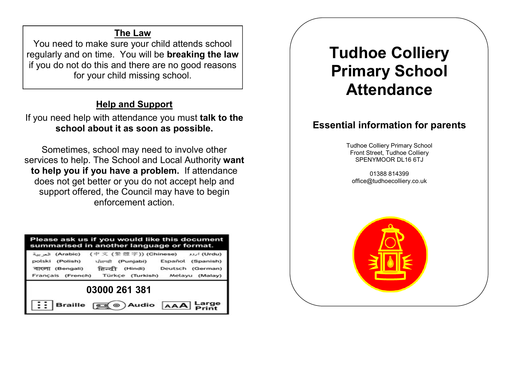## The Law

You need to make sure your child attends school regularly and on time. You will be breaking the law if you do not do this and there are no good reasons for your child missing school.

# Help and Support

If you need help with attendance you must talk to the school about it as soon as possible.

Sometimes, school may need to involve other services to help. The School and Local Authority want to help you if you have a problem. If attendance does not get better or you do not accept help and support offered, the Council may have to begin enforcement action.

| Please ask us if you would like this document<br>summarised in another language or format.                                                                                                                             |
|------------------------------------------------------------------------------------------------------------------------------------------------------------------------------------------------------------------------|
| (Urdu) اروو (Chinese) (中文 (繁體字)) (Chinese) العربية<br>polski (Polish) ਪੰਜਾਬੀ (Punjabi)<br>Español (Spanish)<br>(Hindi) Deutsch (German)<br>বাংলা (Bengali) हिन्दी<br>Français (French) Türkçe (Turkish) Melayu (Malay) |
| 03000 261 381                                                                                                                                                                                                          |
| <b>Example 3</b> Audio AAA Large<br><b>Braille</b>                                                                                                                                                                     |

# Tudhoe Colliery Primary School Attendance

## Essential information for parents

Tudhoe Colliery Primary School Front Street, Tudhoe Colliery SPENYMOOR DL16 6TJ

01388 814399 office@tudhoecolliery.co.uk